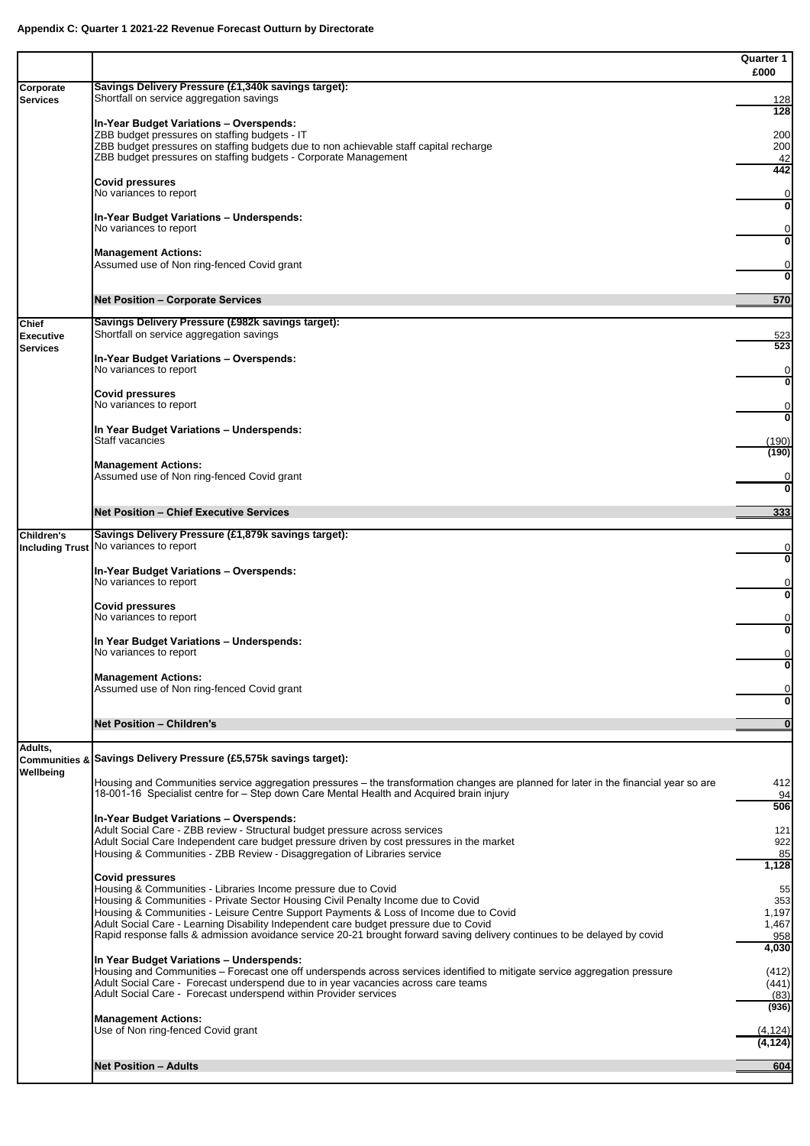|                                     |                                                                                                                                                                                                                                                                                      | <b>Quarter 1</b><br>£000 |
|-------------------------------------|--------------------------------------------------------------------------------------------------------------------------------------------------------------------------------------------------------------------------------------------------------------------------------------|--------------------------|
| Corporate<br><b>Services</b>        | Savings Delivery Pressure (£1,340k savings target):<br>Shortfall on service aggregation savings                                                                                                                                                                                      | <u>128</u>               |
|                                     | In-Year Budget Variations - Overspends:                                                                                                                                                                                                                                              | 128                      |
|                                     | ZBB budget pressures on staffing budgets - IT<br>ZBB budget pressures on staffing budgets due to non achievable staff capital recharge                                                                                                                                               | 200<br>200               |
|                                     | ZBB budget pressures on staffing budgets - Corporate Management                                                                                                                                                                                                                      | 42<br>442                |
|                                     | <b>Covid pressures</b><br>No variances to report                                                                                                                                                                                                                                     |                          |
|                                     | In-Year Budget Variations - Underspends:<br>No variances to report                                                                                                                                                                                                                   |                          |
|                                     | <b>Management Actions:</b><br>Assumed use of Non ring-fenced Covid grant                                                                                                                                                                                                             |                          |
|                                     | <b>Net Position - Corporate Services</b>                                                                                                                                                                                                                                             | 570                      |
| <b>Chief</b>                        | Savings Delivery Pressure (£982k savings target):                                                                                                                                                                                                                                    |                          |
| <b>Executive</b><br><b>Services</b> | Shortfall on service aggregation savings                                                                                                                                                                                                                                             | 523<br>523               |
|                                     | In-Year Budget Variations - Overspends:<br>No variances to report                                                                                                                                                                                                                    |                          |
|                                     | <b>Covid pressures</b><br>No variances to report                                                                                                                                                                                                                                     |                          |
|                                     | In Year Budget Variations - Underspends:                                                                                                                                                                                                                                             |                          |
|                                     | <b>Staff vacancies</b>                                                                                                                                                                                                                                                               | (190)<br>(190)           |
|                                     | <b>Management Actions:</b><br>Assumed use of Non ring-fenced Covid grant                                                                                                                                                                                                             | $\bf{0}$                 |
|                                     | <b>Net Position - Chief Executive Services</b>                                                                                                                                                                                                                                       | 333                      |
| <b>Children's</b>                   | Savings Delivery Pressure (£1,879k savings target):                                                                                                                                                                                                                                  |                          |
|                                     | Including Trust No variances to report                                                                                                                                                                                                                                               |                          |
|                                     | <b>In-Year Budget Variations - Overspends:</b><br>No variances to report                                                                                                                                                                                                             |                          |
|                                     | <b>Covid pressures</b><br>No variances to report                                                                                                                                                                                                                                     |                          |
|                                     | In Year Budget Variations - Underspends:                                                                                                                                                                                                                                             |                          |
|                                     | No variances to report                                                                                                                                                                                                                                                               |                          |
|                                     | <b>Management Actions:</b><br>Assumed use of Non ring-fenced Covid grant                                                                                                                                                                                                             |                          |
|                                     | <b>Net Position - Children's</b>                                                                                                                                                                                                                                                     |                          |
| Adults,                             | Communities & Savings Delivery Pressure (£5,575k savings target):                                                                                                                                                                                                                    |                          |
| Wellbeing                           | Housing and Communities service aggregation pressures – the transformation changes are planned for later in the financial year so are<br>18-001-16 Specialist centre for - Step down Care Mental Health and Acquired brain injury                                                    | 412<br>94                |
|                                     | In-Year Budget Variations - Overspends:                                                                                                                                                                                                                                              | 506                      |
|                                     | Adult Social Care - ZBB review - Structural budget pressure across services<br>Adult Social Care Independent care budget pressure driven by cost pressures in the market                                                                                                             | 121<br>922               |
|                                     | Housing & Communities - ZBB Review - Disaggregation of Libraries service                                                                                                                                                                                                             | 85<br>1,128              |
|                                     | <b>Covid pressures</b><br>Housing & Communities - Libraries Income pressure due to Covid                                                                                                                                                                                             | 55                       |
|                                     | Housing & Communities - Private Sector Housing Civil Penalty Income due to Covid<br>Housing & Communities - Leisure Centre Support Payments & Loss of Income due to Covid                                                                                                            | 353<br>1,197             |
|                                     | Adult Social Care - Learning Disability Independent care budget pressure due to Covid<br>Rapid response falls & admission avoidance service 20-21 brought forward saving delivery continues to be delayed by covid                                                                   | 1,467<br>958             |
|                                     | In Year Budget Variations - Underspends:                                                                                                                                                                                                                                             | 4,030                    |
|                                     | Housing and Communities – Forecast one off underspends across services identified to mitigate service aggregation pressure<br>Adult Social Care - Forecast underspend due to in year vacancies across care teams<br>Adult Social Care - Forecast underspend within Provider services | (412)<br>(441)<br>(83)   |
|                                     | <b>Management Actions:</b><br>Use of Non ring-fenced Covid grant                                                                                                                                                                                                                     | (936)<br>(4, 124)        |
|                                     |                                                                                                                                                                                                                                                                                      | (4, 124)                 |
|                                     | <b>Net Position - Adults</b>                                                                                                                                                                                                                                                         | 604                      |